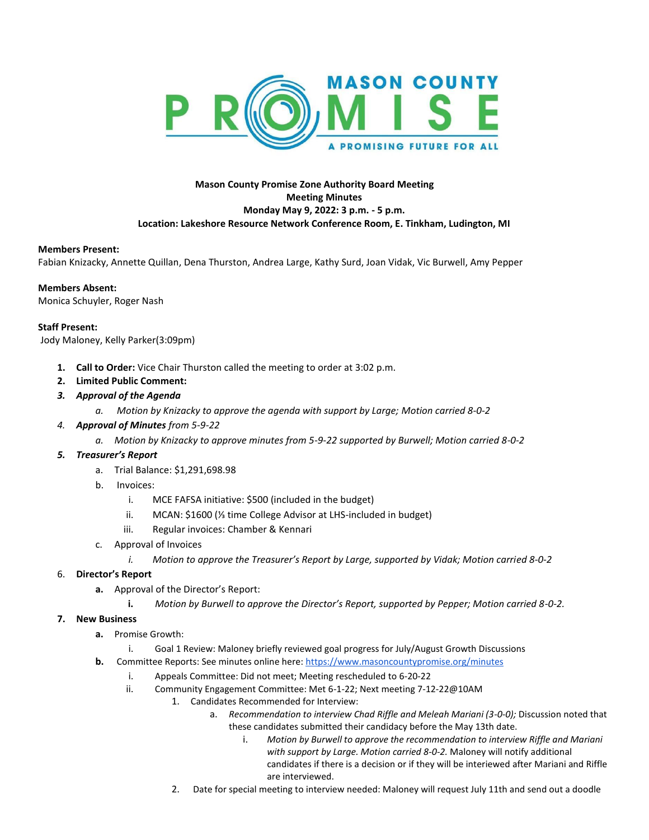

# **Mason County Promise Zone Authority Board Meeting Meeting Minutes Monday May 9, 2022: 3 p.m. - 5 p.m. Location: Lakeshore Resource Network Conference Room, E. Tinkham, Ludington, MI**

#### **Members Present:**

Fabian Knizacky, Annette Quillan, Dena Thurston, Andrea Large, Kathy Surd, Joan Vidak, Vic Burwell, Amy Pepper

#### **Members Absent:**

Monica Schuyler, Roger Nash

### **Staff Present:**

Jody Maloney, Kelly Parker(3:09pm)

- **1. Call to Order:** Vice Chair Thurston called the meeting to order at 3:02 p.m.
- **2. Limited Public Comment:**
- *3. Approval of the Agenda*
	- *a. Motion by Knizacky to approve the agenda with support by Large; Motion carried 8-0-2*
- *4. Approval of Minutes from 5-9-22*
	- *a. Motion by Knizacky to approve minutes from 5-9-22 supported by Burwell; Motion carried 8-0-2*

### *5. Treasurer's Report*

- a. Trial Balance: \$1,291,698.98
- b. Invoices:
	- i. MCE FAFSA initiative: \$500 (included in the budget)
	- ii. MCAN: \$1600 (⅓ time College Advisor at LHS-included in budget)
	- iii. Regular invoices: Chamber & Kennari
- c. Approval of Invoices
	- *i. Motion to approve the Treasurer's Report by Large, supported by Vidak; Motion carried 8-0-2*

## 6. **Director's Report**

- **a.** Approval of the Director's Report:
	- **i.** *Motion by Burwell to approve the Director's Report, supported by Pepper; Motion carried 8-0-2.*

# **7. New Business**

- **a.** Promise Growth:
	- i. Goal 1 Review: Maloney briefly reviewed goal progress for July/August Growth Discussions
- **b.** Committee Reports: See minutes online here[: https://www.masoncountypromise.org/minutes](https://www.masoncountypromise.org/minutes)
	- i. Appeals Committee: Did not meet; Meeting rescheduled to 6-20-22
	- ii. Community Engagement Committee: Met 6-1-22; Next meeting 7-12-22@10AM
		- 1. Candidates Recommended for Interview:
			- a. *Recommendation to interview Chad Riffle and Meleah Mariani (3-0-0);* Discussion noted that these candidates submitted their candidacy before the May 13th date.
				- i. *Motion by Burwell to approve the recommendation to interview Riffle and Mariani with support by Large. Motion carried 8-0-2.* Maloney will notify additional candidates if there is a decision or if they will be interiewed after Mariani and Riffle are interviewed.
		- 2. Date for special meeting to interview needed: Maloney will request July 11th and send out a doodle